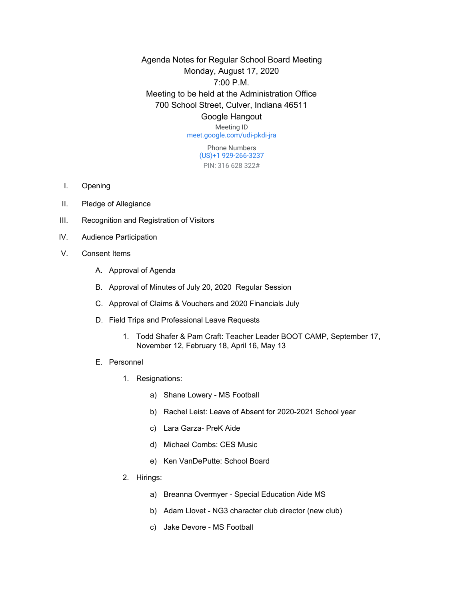Agenda Notes for Regular School Board Meeting Monday, August 17, 2020 7:00 P.M. Meeting to be held at the Administration Office 700 School Street, Culver, Indiana 46511 Google Hangout

Meeting ID [meet.google.com/udi-pkdi-jra](https://meet.google.com/udi-pkdi-jra?hs=122&authuser=0)

> Phone Numbers (US)+1 929-266-3237 PIN: 316 628 322#

- I. Opening
- II. Pledge of Allegiance
- III. Recognition and Registration of Visitors
- IV. Audience Participation
- V. Consent Items
	- A. Approval of Agenda
	- B. Approval of Minutes of July 20, 2020 Regular Session
	- C. Approval of Claims & Vouchers and 2020 Financials July
	- D. Field Trips and Professional Leave Requests
		- 1. Todd Shafer & Pam Craft: Teacher Leader BOOT CAMP, September 17, November 12, February 18, April 16, May 13
	- E. Personnel
		- 1. Resignations:
			- a) Shane Lowery MS Football
			- b) Rachel Leist: Leave of Absent for 2020-2021 School year
			- c) Lara Garza- PreK Aide
			- d) Michael Combs: CES Music
			- e) Ken VanDePutte: School Board
		- 2. Hirings:
			- a) Breanna Overmyer Special Education Aide MS
			- b) Adam Llovet NG3 character club director (new club)
			- c) Jake Devore MS Football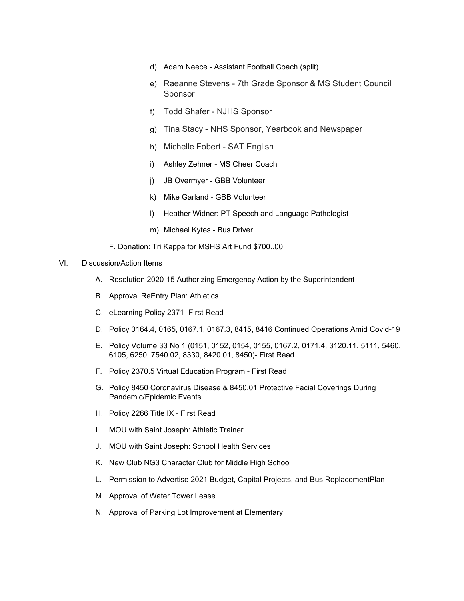- d) Adam Neece Assistant Football Coach (split)
- e) Raeanne Stevens 7th Grade Sponsor & MS Student Council Sponsor
- f) Todd Shafer NJHS Sponsor
- g) Tina Stacy NHS Sponsor, Yearbook and Newspaper
- h) Michelle Fobert SAT English
- i) Ashley Zehner MS Cheer Coach
- j) JB Overmyer GBB Volunteer
- k) Mike Garland GBB Volunteer
- l) Heather Widner: PT Speech and Language Pathologist
- m) Michael Kytes Bus Driver

F. Donation: Tri Kappa for MSHS Art Fund \$700..00

## VI. Discussion/Action Items

- A. Resolution 2020-15 Authorizing Emergency Action by the Superintendent
- B. Approval ReEntry Plan: Athletics
- C. eLearning Policy 2371- First Read
- D. Policy 0164.4, 0165, 0167.1, 0167.3, 8415, 8416 Continued Operations Amid Covid-19
- E. Policy Volume 33 No 1 (0151, 0152, 0154, 0155, 0167.2, 0171.4, 3120.11, 5111, 5460, 6105, 6250, 7540.02, 8330, 8420.01, 8450)- First Read
- F. Policy 2370.5 Virtual Education Program First Read
- G. Policy 8450 Coronavirus Disease & 8450.01 Protective Facial Coverings During Pandemic/Epidemic Events
- H. Policy 2266 Title IX First Read
- I. MOU with Saint Joseph: Athletic Trainer
- J. MOU with Saint Joseph: School Health Services
- K. New Club NG3 Character Club for Middle High School
- L. Permission to Advertise 2021 Budget, Capital Projects, and Bus ReplacementPlan
- M. Approval of Water Tower Lease
- N. Approval of Parking Lot Improvement at Elementary